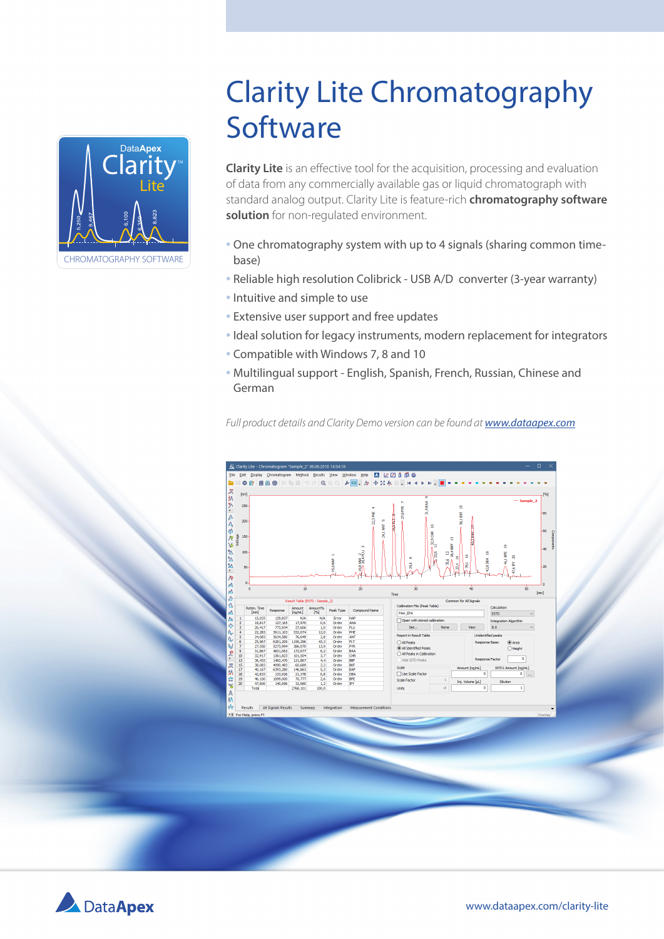

# Clarity Lite Chromatography **Software**

**Clarity Lite** is an effective tool for the acquisition, processing and evaluation of data from any commercially available gas or liquid chromatograph with standard analog output. Clarity Lite is feature-rich **chromatography software solution** for non-regulated environment.

- One chromatography system with up to 4 signals (sharing common timebase)
- Reliable high resolution Colibrick USB A/D converter (3-year warranty)
- Intuitive and simple to use
- Extensive user support and free updates
- Ideal solution for legacy instruments, modern replacement for integrators
- Compatible with Windows 7, 8 and 10
- Multilingual support English, Spanish, French, Russian, Chinese and German

*Full product details and Clarity Demo version can be found at www.dataapex.com*